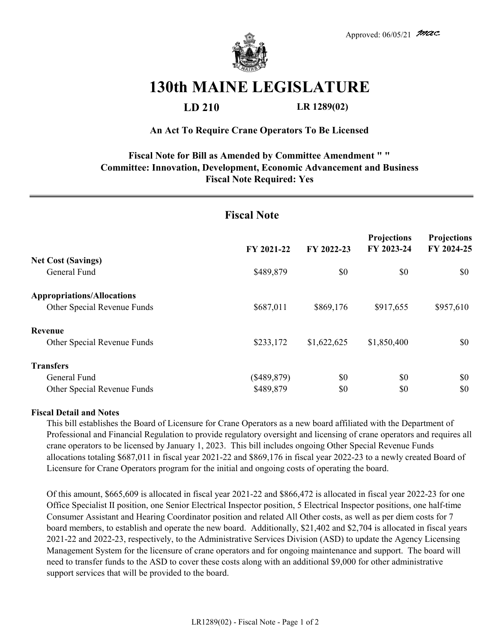

# **130th MAINE LEGISLATURE**

## **LD 210 LR 1289(02)**

#### **An Act To Require Crane Operators To Be Licensed**

## **Fiscal Note for Bill as Amended by Committee Amendment " " Committee: Innovation, Development, Economic Advancement and Business Fiscal Note Required: Yes**

| <b>Fiscal Note</b>                                               |             |             |                           |                                  |
|------------------------------------------------------------------|-------------|-------------|---------------------------|----------------------------------|
|                                                                  | FY 2021-22  | FY 2022-23  | Projections<br>FY 2023-24 | <b>Projections</b><br>FY 2024-25 |
| <b>Net Cost (Savings)</b><br>General Fund                        | \$489,879   | \$0         | \$0                       | \$0                              |
| <b>Appropriations/Allocations</b><br>Other Special Revenue Funds | \$687,011   | \$869,176   | \$917,655                 | \$957,610                        |
| Revenue<br>Other Special Revenue Funds                           | \$233,172   | \$1,622,625 | \$1,850,400               | \$0                              |
| <b>Transfers</b><br>General Fund                                 | (\$489,879) | \$0         | \$0                       | \$0<br>\$0                       |
| Other Special Revenue Funds                                      | \$489,879   | \$0         | \$0                       |                                  |

#### **Fiscal Detail and Notes**

This bill establishes the Board of Licensure for Crane Operators as a new board affiliated with the Department of Professional and Financial Regulation to provide regulatory oversight and licensing of crane operators and requires all crane operators to be licensed by January 1, 2023. This bill includes ongoing Other Special Revenue Funds allocations totaling \$687,011 in fiscal year 2021-22 and \$869,176 in fiscal year 2022-23 to a newly created Board of Licensure for Crane Operators program for the initial and ongoing costs of operating the board.

Of this amount, \$665,609 is allocated in fiscal year 2021-22 and \$866,472 is allocated in fiscal year 2022-23 for one Office Specialist II position, one Senior Electrical Inspector position, 5 Electrical Inspector positions, one half-time Consumer Assistant and Hearing Coordinator position and related All Other costs, as well as per diem costs for 7 board members, to establish and operate the new board. Additionally, \$21,402 and \$2,704 is allocated in fiscal years 2021-22 and 2022-23, respectively, to the Administrative Services Division (ASD) to update the Agency Licensing Management System for the licensure of crane operators and for ongoing maintenance and support. The board will need to transfer funds to the ASD to cover these costs along with an additional \$9,000 for other administrative support services that will be provided to the board.